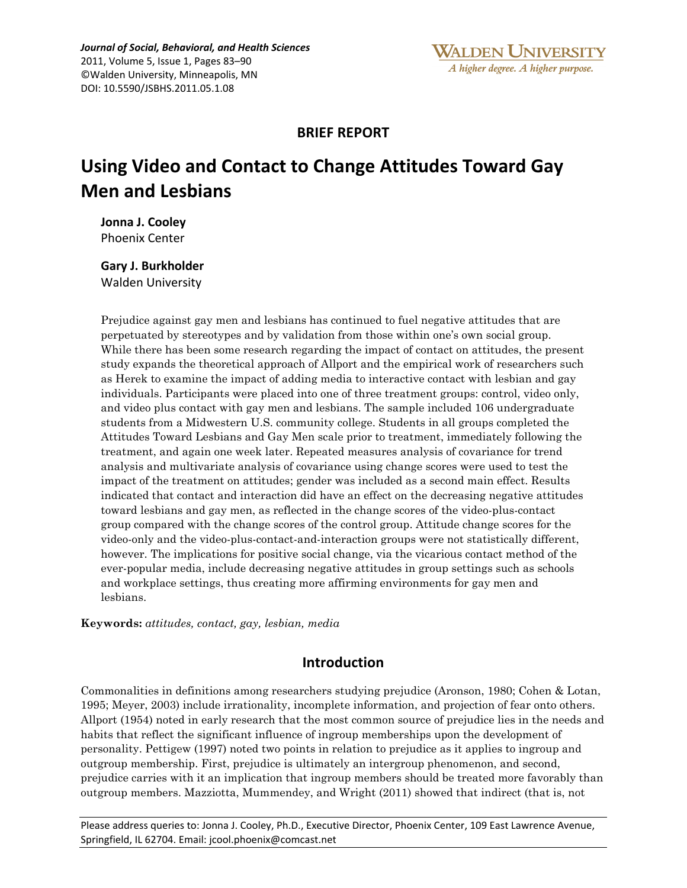## **BRIEF REPORT**

# **Using Video and Contact to Change Attitudes Toward Gay Men and Lesbians**

**Jonna&J. Cooley** Phoenix Center

**Gary J. Burkholder** Walden University

Prejudice against gay men and lesbians has continued to fuel negative attitudes that are perpetuated by stereotypes and by validation from those within one's own social group. While there has been some research regarding the impact of contact on attitudes, the present study expands the theoretical approach of Allport and the empirical work of researchers such as Herek to examine the impact of adding media to interactive contact with lesbian and gay individuals. Participants were placed into one of three treatment groups: control, video only, and video plus contact with gay men and lesbians. The sample included 106 undergraduate students from a Midwestern U.S. community college. Students in all groups completed the Attitudes Toward Lesbians and Gay Men scale prior to treatment, immediately following the treatment, and again one week later. Repeated measures analysis of covariance for trend analysis and multivariate analysis of covariance using change scores were used to test the impact of the treatment on attitudes; gender was included as a second main effect. Results indicated that contact and interaction did have an effect on the decreasing negative attitudes toward lesbians and gay men, as reflected in the change scores of the video-plus-contact group compared with the change scores of the control group. Attitude change scores for the video-only and the video-plus-contact-and-interaction groups were not statistically different, however. The implications for positive social change, via the vicarious contact method of the ever-popular media, include decreasing negative attitudes in group settings such as schools and workplace settings, thus creating more affirming environments for gay men and lesbians.

**Keywords:** *attitudes, contact, gay, lesbian, media*

## **Introduction**

Commonalities in definitions among researchers studying prejudice (Aronson, 1980; Cohen & Lotan, 1995; Meyer, 2003) include irrationality, incomplete information, and projection of fear onto others. Allport (1954) noted in early research that the most common source of prejudice lies in the needs and habits that reflect the significant influence of ingroup memberships upon the development of personality. Pettigew (1997) noted two points in relation to prejudice as it applies to ingroup and outgroup membership. First, prejudice is ultimately an intergroup phenomenon, and second, prejudice carries with it an implication that ingroup members should be treated more favorably than outgroup members. Mazziotta, Mummendey, and Wright (2011) showed that indirect (that is, not

Please address queries to: Jonna J. Cooley, Ph.D., Executive Director, Phoenix Center, 109 East Lawrence Avenue, Springfield, IL 62704. Email: jcool.phoenix@comcast.net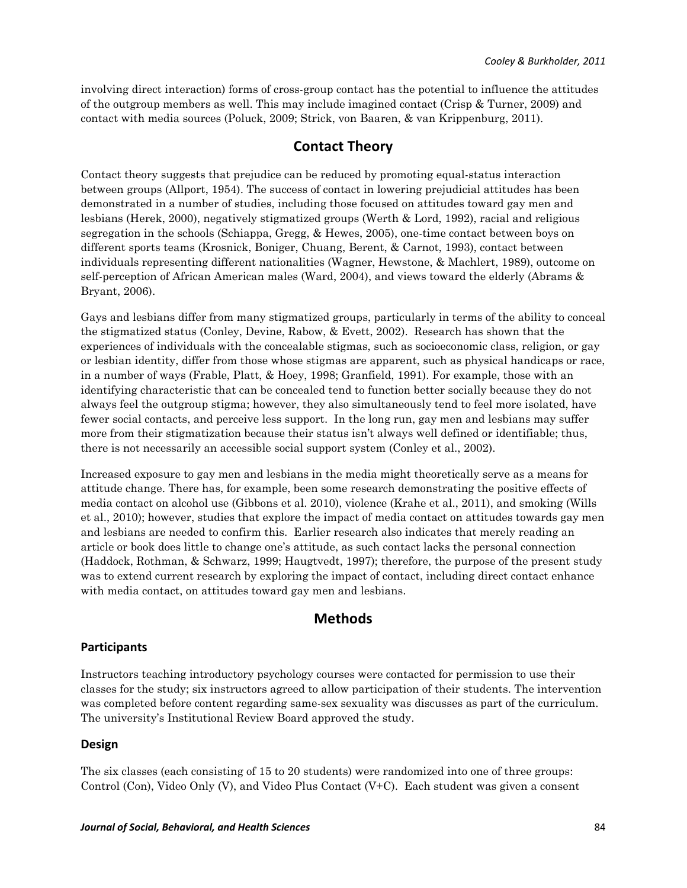involving direct interaction) forms of cross-group contact has the potential to influence the attitudes of the outgroup members as well. This may include imagined contact (Crisp & Turner, 2009) and contact with media sources (Poluck, 2009; Strick, von Baaren, & van Krippenburg, 2011).

## **Contact&Theory**

Contact theory suggests that prejudice can be reduced by promoting equal-status interaction between groups (Allport, 1954). The success of contact in lowering prejudicial attitudes has been demonstrated in a number of studies, including those focused on attitudes toward gay men and lesbians (Herek, 2000), negatively stigmatized groups (Werth & Lord, 1992), racial and religious segregation in the schools (Schiappa, Gregg, & Hewes, 2005), one-time contact between boys on different sports teams (Krosnick, Boniger, Chuang, Berent, & Carnot, 1993), contact between individuals representing different nationalities (Wagner, Hewstone, & Machlert, 1989), outcome on self-perception of African American males (Ward, 2004), and views toward the elderly (Abrams & Bryant, 2006).

Gays and lesbians differ from many stigmatized groups, particularly in terms of the ability to conceal the stigmatized status (Conley, Devine, Rabow, & Evett, 2002). Research has shown that the experiences of individuals with the concealable stigmas, such as socioeconomic class, religion, or gay or lesbian identity, differ from those whose stigmas are apparent, such as physical handicaps or race, in a number of ways (Frable, Platt, & Hoey, 1998; Granfield, 1991). For example, those with an identifying characteristic that can be concealed tend to function better socially because they do not always feel the outgroup stigma; however, they also simultaneously tend to feel more isolated, have fewer social contacts, and perceive less support. In the long run, gay men and lesbians may suffer more from their stigmatization because their status isn't always well defined or identifiable; thus, there is not necessarily an accessible social support system (Conley et al., 2002).

Increased exposure to gay men and lesbians in the media might theoretically serve as a means for attitude change. There has, for example, been some research demonstrating the positive effects of media contact on alcohol use (Gibbons et al. 2010), violence (Krahe et al., 2011), and smoking (Wills et al., 2010); however, studies that explore the impact of media contact on attitudes towards gay men and lesbians are needed to confirm this. Earlier research also indicates that merely reading an article or book does little to change one's attitude, as such contact lacks the personal connection (Haddock, Rothman, & Schwarz, 1999; Haugtvedt, 1997); therefore, the purpose of the present study was to extend current research by exploring the impact of contact, including direct contact enhance with media contact, on attitudes toward gay men and lesbians.

## **Methods**

## **Participants&**

Instructors teaching introductory psychology courses were contacted for permission to use their classes for the study; six instructors agreed to allow participation of their students. The intervention was completed before content regarding same-sex sexuality was discusses as part of the curriculum. The university's Institutional Review Board approved the study.

#### **Design&&**

The six classes (each consisting of 15 to 20 students) were randomized into one of three groups: Control (Con), Video Only (V), and Video Plus Contact (V+C). Each student was given a consent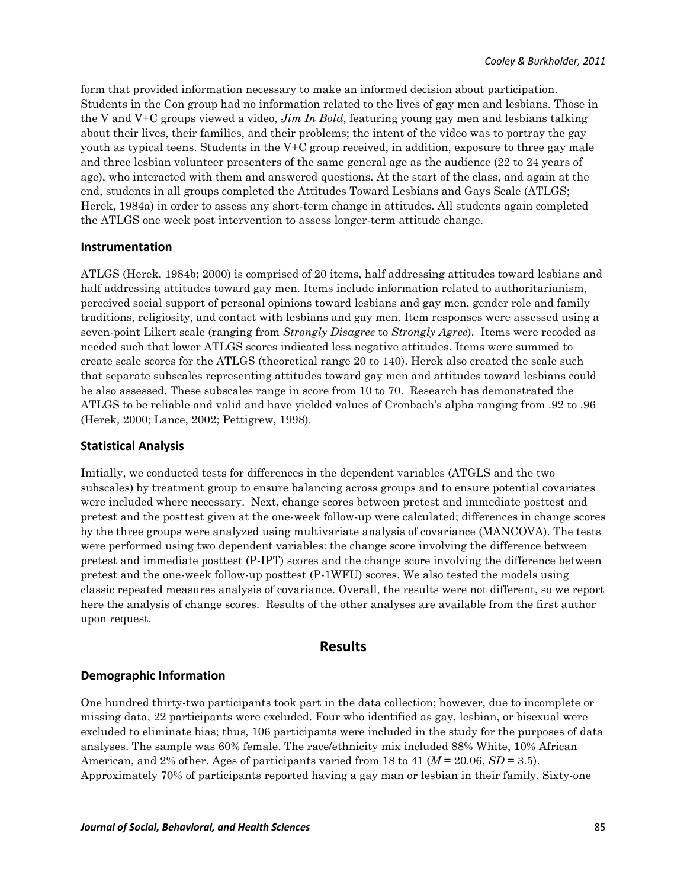form that provided information necessary to make an informed decision about participation. Students in the Con group had no information related to the lives of gay men and lesbians. Those in the V and V+C groups viewed a video, *Jim In Bold*, featuring young gay men and lesbians talking about their lives, their families, and their problems; the intent of the video was to portray the gay youth as typical teens. Students in the V+C group received, in addition, exposure to three gay male and three lesbian volunteer presenters of the same general age as the audience (22 to 24 years of age), who interacted with them and answered questions. At the start of the class, and again at the end, students in all groups completed the Attitudes Toward Lesbians and Gays Scale (ATLGS; Herek, 1984a) in order to assess any short-term change in attitudes. All students again completed the ATLGS one week post intervention to assess longer-term attitude change.

#### **Instrumentation**

ATLGS (Herek, 1984b; 2000) is comprised of 20 items, half addressing attitudes toward lesbians and half addressing attitudes toward gay men. Items include information related to authoritarianism, perceived social support of personal opinions toward lesbians and gay men, gender role and family traditions, religiosity, and contact with lesbians and gay men. Item responses were assessed using a seven-point Likert scale (ranging from *Strongly Disagree* to *Strongly Agree*). Items were recoded as needed such that lower ATLGS scores indicated less negative attitudes. Items were summed to create scale scores for the ATLGS (theoretical range 20 to 140). Herek also created the scale such that separate subscales representing attitudes toward gay men and attitudes toward lesbians could be also assessed. These subscales range in score from 10 to 70. Research has demonstrated the ATLGS to be reliable and valid and have yielded values of Cronbach's alpha ranging from .92 to .96 (Herek, 2000; Lance, 2002; Pettigrew, 1998).

#### **Statistical&Analysis**

Initially, we conducted tests for differences in the dependent variables (ATGLS and the two subscales) by treatment group to ensure balancing across groups and to ensure potential covariates were included where necessary. Next, change scores between pretest and immediate posttest and pretest and the posttest given at the one-week follow-up were calculated; differences in change scores by the three groups were analyzed using multivariate analysis of covariance (MANCOVA). The tests were performed using two dependent variables: the change score involving the difference between pretest and immediate posttest (P-IPT) scores and the change score involving the difference between pretest and the one-week follow-up posttest (P-1WFU) scores. We also tested the models using classic repeated measures analysis of covariance. Overall, the results were not different, so we report here the analysis of change scores. Results of the other analyses are available from the first author upon request.

## **Results**

#### **Demographic&Information**

One hundred thirty-two participants took part in the data collection; however, due to incomplete or missing data, 22 participants were excluded. Four who identified as gay, lesbian, or bisexual were excluded to eliminate bias; thus, 106 participants were included in the study for the purposes of data analyses. The sample was 60% female. The race/ethnicity mix included 88% White, 10% African American, and 2% other. Ages of participants varied from 18 to 41 ( $M = 20.06$ ,  $SD = 3.5$ ). Approximately 70% of participants reported having a gay man or lesbian in their family. Sixty-one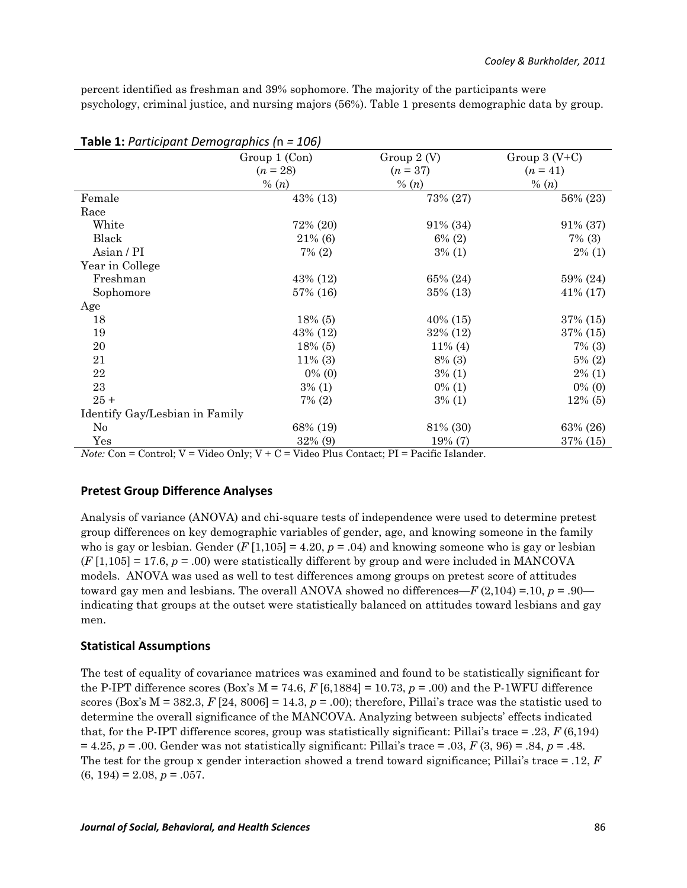percent identified as freshman and 39% sophomore. The majority of the participants were psychology, criminal justice, and nursing majors (56%). Table 1 presents demographic data by group.

| <b>Table 1:</b> The dictional Defined to the                                                                                                                         | - 100,<br>Group 1 (Con) | Group $2(V)$ | Group $3(V+C)$ |  |
|----------------------------------------------------------------------------------------------------------------------------------------------------------------------|-------------------------|--------------|----------------|--|
|                                                                                                                                                                      | $(n = 28)$              | $(n=37)$     | $(n = 41)$     |  |
|                                                                                                                                                                      | % $(n)$                 | % $(n)$      | % $(n)$        |  |
| Female                                                                                                                                                               | 43% (13)                | 73% (27)     | 56% (23)       |  |
| Race                                                                                                                                                                 |                         |              |                |  |
| White                                                                                                                                                                | 72% (20)                | 91% (34)     | 91% (37)       |  |
| Black                                                                                                                                                                | 21% (6)                 | $6\%$ (2)    | $7\%$ (3)      |  |
| Asian / PI                                                                                                                                                           | $7\%$ (2)               | $3\%$ (1)    | $2\%$ (1)      |  |
| Year in College                                                                                                                                                      |                         |              |                |  |
| Freshman                                                                                                                                                             | 43% (12)                | 65% (24)     | 59% (24)       |  |
| Sophomore                                                                                                                                                            | 57% (16)                | 35% (13)     | $41\% (17)$    |  |
| Age                                                                                                                                                                  |                         |              |                |  |
| 18                                                                                                                                                                   | $18\%$ (5)              | $40\%$ (15)  | 37% (15)       |  |
| 19                                                                                                                                                                   | 43% (12)                | 32% (12)     | 37% (15)       |  |
| 20                                                                                                                                                                   | $18\%$ (5)              | $11\%$ (4)   | $7\%$ (3)      |  |
| 21                                                                                                                                                                   | $11\%$ (3)              | $8\%$ (3)    | $5\%$ (2)      |  |
| 22                                                                                                                                                                   | $0\%$ (0)               | $3\%$ (1)    | $2\%$ (1)      |  |
| 23                                                                                                                                                                   | $3\%$ (1)               | $0\%$ (1)    | $0\%$ (0)      |  |
| $25 +$                                                                                                                                                               | $7\%$ (2)               | $3\%$ (1)    | $12\%$ (5)     |  |
| Identify Gay/Lesbian in Family                                                                                                                                       |                         |              |                |  |
| No                                                                                                                                                                   | 68% (19)                | 81% (30)     | 63% (26)       |  |
| Yes<br>$N_{i}$ ta: $\Omega_{i} = \Omega_{i}$ rtual: $V = V_{i}$ dae $\Omega_{i}$ la: $V + \Omega = V_{i}$ dae Place $\Omega_{i}$ rtuat: PL = Puai $f_{i}$ e Islamdan | 32% (9)                 | 19% (7)      | 37% (15)       |  |

#### **Table 1:** *Participant Demographics (n = 106)*

*Note:* Con = Control; V = Video Only; V + C = Video Plus Contact; PI = Pacific Islander.

#### **Pretest Group Difference Analyses**

Analysis of variance (ANOVA) and chi-square tests of independence were used to determine pretest group differences on key demographic variables of gender, age, and knowing someone in the family who is gay or lesbian. Gender  $(F[1,105] = 4.20, p = .04)$  and knowing someone who is gay or lesbian  $(F[1,105] = 17.6, p = .00)$  were statistically different by group and were included in MANCOVA models. ANOVA was used as well to test differences among groups on pretest score of attitudes toward gay men and lesbians. The overall ANOVA showed no differences—*F* (2,104) =.10, *p* = .90 indicating that groups at the outset were statistically balanced on attitudes toward lesbians and gay men.

#### **Statistical&Assumptions**

The test of equality of covariance matrices was examined and found to be statistically significant for the P-IPT difference scores (Box's  $M = 74.6$ ,  $F[6,1884] = 10.73$ ,  $p = .00$ ) and the P-1WFU difference scores (Box's  $M = 382.3$ ,  $F [24, 8006] = 14.3$ ,  $p = .00$ ); therefore, Pillai's trace was the statistic used to determine the overall significance of the MANCOVA. Analyzing between subjects' effects indicated that, for the P-IPT difference scores, group was statistically significant: Pillai's trace  $= .23, F(6,194)$  $= 4.25, p = .00.$  Gender was not statistically significant: Pillai's trace = .03,  $F(3, 96) = .84, p = .48.$ The test for the group x gender interaction showed a trend toward significance; Pillai's trace = .12, *F*  $(6, 194) = 2.08, p = .057.$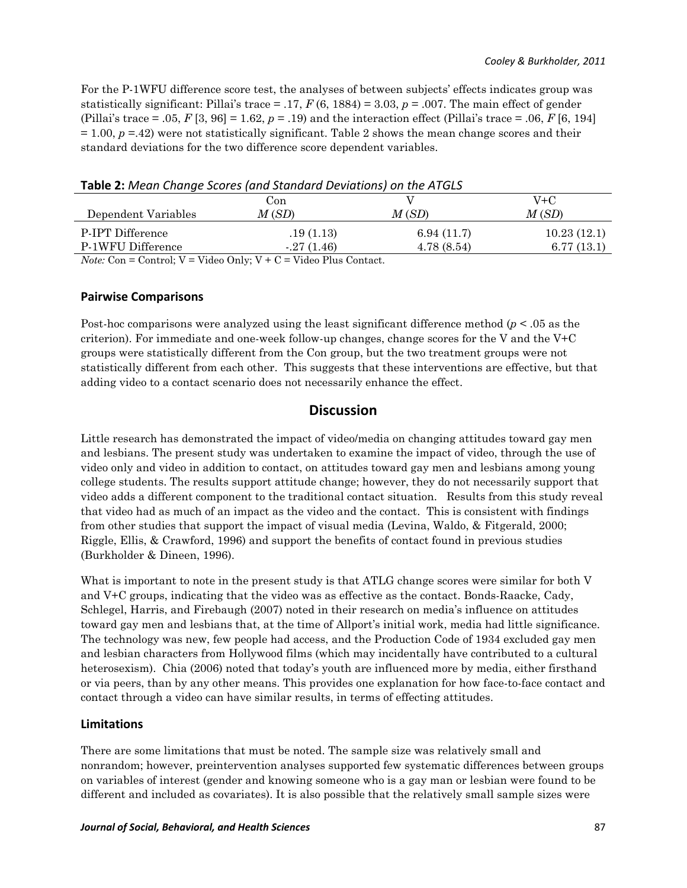For the P-1WFU difference score test, the analyses of between subjects' effects indicates group was statistically significant: Pillai's trace = .17, *F* (6, 1884) = 3.03, *p* = .007. The main effect of gender (Pillai's trace = .05,  $F$  [3, 96] = 1.62,  $p = .19$ ) and the interaction effect (Pillai's trace = .06,  $F$  [6, 194]  $= 1.00, p = 42$ ) were not statistically significant. Table 2 shows the mean change scores and their standard deviations for the two difference score dependent variables.

| Table 2: Mean Change Scores (and Standard Deviations) on the ATGLS |  |  |
|--------------------------------------------------------------------|--|--|
|                                                                    |  |  |

|                     | Con                                                     |            | V+C         |
|---------------------|---------------------------------------------------------|------------|-------------|
| Dependent Variables | M(SD)                                                   | M(SD)      | M(SD)       |
| P-IPT Difference    | .19(1.13)                                               | 6.94(11.7) | 10.23(12.1) |
| P-1WFU Difference   | $-27(1.46)$                                             | 4.78(8.54) | 6.77(13.1)  |
|                     | $\sim$ $\sim$ $\sim$ $\sim$ $\sim$ $\sim$ $\sim$ $\sim$ |            |             |

*Note:*  $Con = Control$ ;  $V = Video Only$ ;  $V + C = Video Plus Contact$ .

#### **Pairwise Comparisons**

Post-hoc comparisons were analyzed using the least significant difference method (*p* < .05 as the criterion). For immediate and one-week follow-up changes, change scores for the V and the  $V+C$ groups were statistically different from the Con group, but the two treatment groups were not statistically different from each other. This suggests that these interventions are effective, but that adding video to a contact scenario does not necessarily enhance the effect.

## **Discussion**

Little research has demonstrated the impact of video/media on changing attitudes toward gay men and lesbians. The present study was undertaken to examine the impact of video, through the use of video only and video in addition to contact, on attitudes toward gay men and lesbians among young college students. The results support attitude change; however, they do not necessarily support that video adds a different component to the traditional contact situation. Results from this study reveal that video had as much of an impact as the video and the contact. This is consistent with findings from other studies that support the impact of visual media (Levina, Waldo, & Fitgerald, 2000; Riggle, Ellis, & Crawford, 1996) and support the benefits of contact found in previous studies (Burkholder & Dineen, 1996).

What is important to note in the present study is that ATLG change scores were similar for both V and V+C groups, indicating that the video was as effective as the contact. Bonds-Raacke, Cady, Schlegel, Harris, and Firebaugh (2007) noted in their research on media's influence on attitudes toward gay men and lesbians that, at the time of Allport's initial work, media had little significance. The technology was new, few people had access, and the Production Code of 1934 excluded gay men and lesbian characters from Hollywood films (which may incidentally have contributed to a cultural heterosexism). Chia (2006) noted that today's youth are influenced more by media, either firsthand or via peers, than by any other means. This provides one explanation for how face-to-face contact and contact through a video can have similar results, in terms of effecting attitudes.

## **Limitations&**

There are some limitations that must be noted. The sample size was relatively small and nonrandom; however, preintervention analyses supported few systematic differences between groups on variables of interest (gender and knowing someone who is a gay man or lesbian were found to be different and included as covariates). It is also possible that the relatively small sample sizes were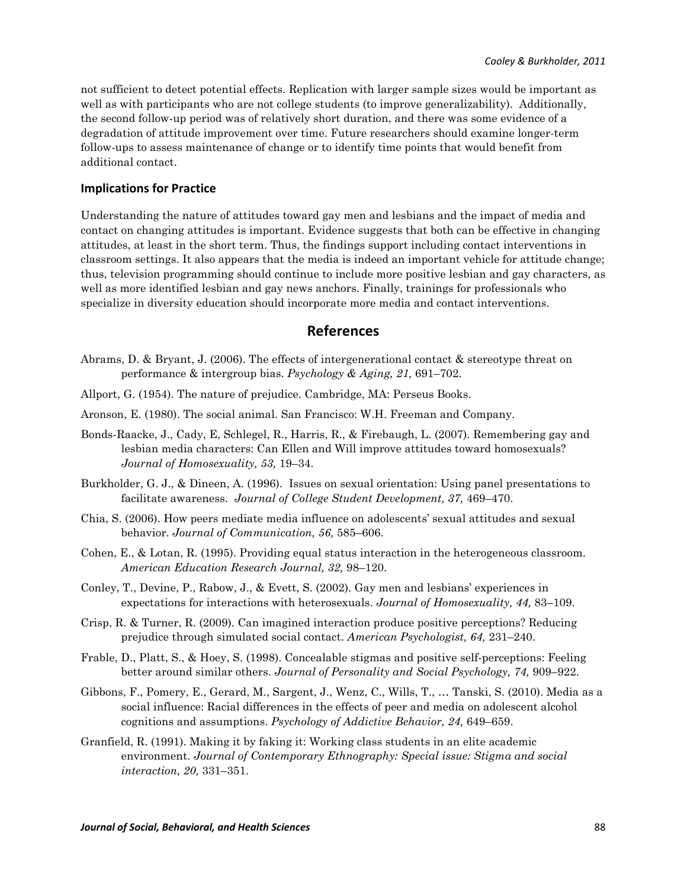not sufficient to detect potential effects. Replication with larger sample sizes would be important as well as with participants who are not college students (to improve generalizability). Additionally, the second follow-up period was of relatively short duration, and there was some evidence of a degradation of attitude improvement over time. Future researchers should examine longer-term follow-ups to assess maintenance of change or to identify time points that would benefit from additional contact.

#### **Implications for Practice**

Understanding the nature of attitudes toward gay men and lesbians and the impact of media and contact on changing attitudes is important. Evidence suggests that both can be effective in changing attitudes, at least in the short term. Thus, the findings support including contact interventions in classroom settings. It also appears that the media is indeed an important vehicle for attitude change; thus, television programming should continue to include more positive lesbian and gay characters, as well as more identified lesbian and gay news anchors. Finally, trainings for professionals who specialize in diversity education should incorporate more media and contact interventions.

#### **References**

- Abrams, D. & Bryant, J. (2006). The effects of intergenerational contact & stereotype threat on performance & intergroup bias. *Psychology & Aging, 21,* 691–702.
- Allport, G. (1954). The nature of prejudice. Cambridge, MA: Perseus Books.
- Aronson, E. (1980). The social animal. San Francisco: W.H. Freeman and Company.
- Bonds-Raacke, J., Cady, E, Schlegel, R., Harris, R., & Firebaugh, L. (2007). Remembering gay and lesbian media characters: Can Ellen and Will improve attitudes toward homosexuals? *Journal of Homosexuality, 53,* 19–34.
- Burkholder, G. J., & Dineen, A. (1996). Issues on sexual orientation: Using panel presentations to facilitate awareness. *Journal of College Student Development, 37,* 469–470.
- Chia, S. (2006). How peers mediate media influence on adolescents' sexual attitudes and sexual behavior. *Journal of Communication, 56,* 585–606.
- Cohen, E., & Lotan, R. (1995). Providing equal status interaction in the heterogeneous classroom. *American Education Research Journal, 32,* 98–120.
- Conley, T., Devine, P., Rabow, J., & Evett, S. (2002). Gay men and lesbians' experiences in expectations for interactions with heterosexuals. *Journal of Homosexuality, 44,* 83–109.
- Crisp, R. & Turner, R. (2009). Can imagined interaction produce positive perceptions? Reducing prejudice through simulated social contact. *American Psychologist, 64,* 231–240.
- Frable, D., Platt, S., & Hoey, S. (1998). Concealable stigmas and positive self-perceptions: Feeling better around similar others. *Journal of Personality and Social Psychology, 74,* 909–922.
- Gibbons, F., Pomery, E., Gerard, M., Sargent, J., Wenz, C., Wills, T., … Tanski, S. (2010). Media as a social influence: Racial differences in the effects of peer and media on adolescent alcohol cognitions and assumptions. *Psychology of Addictive Behavior, 24,* 649–659.
- Granfield, R. (1991). Making it by faking it: Working class students in an elite academic environment. *Journal of Contemporary Ethnography: Special issue: Stigma and social interaction, 20,* 331–351.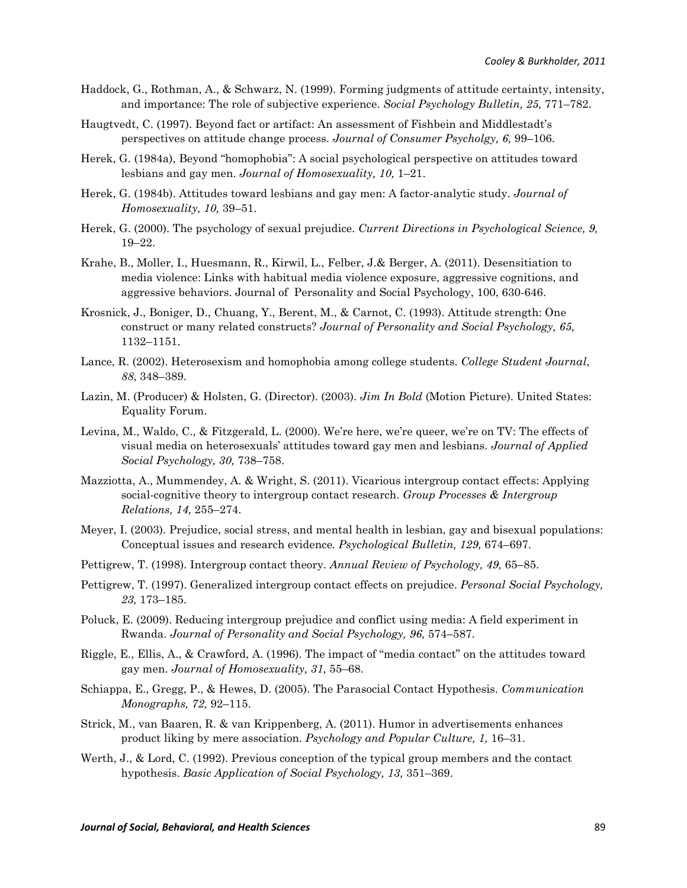- Haddock, G., Rothman, A., & Schwarz, N. (1999). Forming judgments of attitude certainty, intensity, and importance: The role of subjective experience. *Social Psychology Bulletin, 25,* 771–782.
- Haugtvedt, C. (1997). Beyond fact or artifact: An assessment of Fishbein and Middlestadt's perspectives on attitude change process. *Journal of Consumer Psycholgy, 6,* 99–106.
- Herek, G. (1984a), Beyond "homophobia": A social psychological perspective on attitudes toward lesbians and gay men. *Journal of Homosexuality, 10,* 1–21.
- Herek, G. (1984b). Attitudes toward lesbians and gay men: A factor-analytic study. *Journal of Homosexuality, 10,* 39–51.
- Herek, G. (2000). The psychology of sexual prejudice. *Current Directions in Psychological Science, 9,* 19–22.
- Krahe, B., Moller, I., Huesmann, R., Kirwil, L., Felber, J.& Berger, A. (2011). Desensitiation to media violence: Links with habitual media violence exposure, aggressive cognitions, and aggressive behaviors. Journal of Personality and Social Psychology, 100, 630-646.
- Krosnick, J., Boniger, D., Chuang, Y., Berent, M., & Carnot, C. (1993). Attitude strength: One construct or many related constructs? *Journal of Personality and Social Psychology, 65,* 1132–1151.
- Lance, R. (2002). Heterosexism and homophobia among college students. *College Student Journal*, *88*, 348–389.
- Lazin, M. (Producer) & Holsten, G. (Director). (2003). *Jim In Bold* (Motion Picture). United States: Equality Forum.
- Levina, M., Waldo, C., & Fitzgerald, L. (2000). We're here, we're queer, we're on TV: The effects of visual media on heterosexuals' attitudes toward gay men and lesbians. *Journal of Applied Social Psychology, 30,* 738–758.
- Mazziotta, A., Mummendey, A. & Wright, S. (2011). Vicarious intergroup contact effects: Applying social-cognitive theory to intergroup contact research. *Group Processes & Intergroup Relations, 14,* 255–274.
- Meyer, I. (2003). Prejudice, social stress, and mental health in lesbian, gay and bisexual populations: Conceptual issues and research evidence*. Psychological Bulletin, 129,* 674–697.
- Pettigrew, T. (1998). Intergroup contact theory. *Annual Review of Psychology, 49,* 65–85.
- Pettigrew, T. (1997). Generalized intergroup contact effects on prejudice. *Personal Social Psychology, 23,* 173–185.
- Poluck, E. (2009). Reducing intergroup prejudice and conflict using media: A field experiment in Rwanda. *Journal of Personality and Social Psychology, 96,* 574–587.
- Riggle, E., Ellis, A., & Crawford, A. (1996). The impact of "media contact" on the attitudes toward gay men. *Journal of Homosexuality, 31,* 55–68.
- Schiappa, E., Gregg, P., & Hewes, D. (2005). The Parasocial Contact Hypothesis. *Communication Monographs, 72,* 92–115.
- Strick, M., van Baaren, R. & van Krippenberg, A. (2011). Humor in advertisements enhances product liking by mere association. *Psychology and Popular Culture, 1,* 16–31.
- Werth, J., & Lord, C. (1992). Previous conception of the typical group members and the contact hypothesis. *Basic Application of Social Psychology, 13,* 351–369.